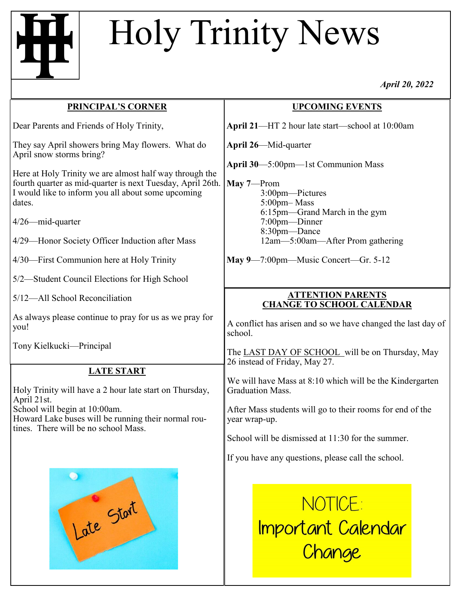## Holy Trinity News

*April 20, 2022*

| <b>PRINCIPAL'S CORNER</b>                                                                                                                                                             | <b>UPCOMING EVENTS</b>                                                                                                 |
|---------------------------------------------------------------------------------------------------------------------------------------------------------------------------------------|------------------------------------------------------------------------------------------------------------------------|
| Dear Parents and Friends of Holy Trinity,                                                                                                                                             | April 21-HT 2 hour late start-school at 10:00am                                                                        |
| They say April showers bring May flowers. What do<br>April snow storms bring?                                                                                                         | <b>April 26</b> —Mid-quarter                                                                                           |
| Here at Holy Trinity we are almost half way through the<br>fourth quarter as mid-quarter is next Tuesday, April 26th.<br>I would like to inform you all about some upcoming<br>dates. | April 30-5:00pm-1st Communion Mass<br>May $7$ —Prom<br>3:00pm-Pictures<br>5:00pm-Mass<br>6:15pm-Grand March in the gym |
| 4/26-mid-quarter                                                                                                                                                                      | 7:00pm-Dinner<br>8:30pm-Dance                                                                                          |
| 4/29—Honor Society Officer Induction after Mass                                                                                                                                       | 12am-5:00am-After Prom gathering                                                                                       |
| 4/30—First Communion here at Holy Trinity                                                                                                                                             | May 9-7:00pm-Music Concert-Gr. 5-12                                                                                    |
| 5/2—Student Council Elections for High School                                                                                                                                         |                                                                                                                        |
| 5/12-All School Reconciliation                                                                                                                                                        | <b>ATTENTION PARENTS</b><br><b>CHANGE TO SCHOOL CALENDAR</b>                                                           |
| As always please continue to pray for us as we pray for<br>you!                                                                                                                       | A conflict has arisen and so we have changed the last day of<br>school.                                                |
| Tony Kielkucki-Principal                                                                                                                                                              | The LAST DAY OF SCHOOL will be on Thursday, May<br>26 instead of Friday, May 27.                                       |
| <b>LATE START</b><br>Holy Trinity will have a 2 hour late start on Thursday,<br>April 21st.                                                                                           | We will have Mass at 8:10 which will be the Kindergarten<br><b>Graduation Mass.</b>                                    |
| School will begin at 10:00am.<br>Howard Lake buses will be running their normal rou-<br>tines. There will be no school Mass.                                                          | After Mass students will go to their rooms for end of the<br>year wrap-up.                                             |
|                                                                                                                                                                                       | School will be dismissed at 11:30 for the summer.                                                                      |
|                                                                                                                                                                                       | If you have any questions, please call the school.                                                                     |
| $\bullet$                                                                                                                                                                             |                                                                                                                        |
|                                                                                                                                                                                       | NOTICE:                                                                                                                |
| Late Start                                                                                                                                                                            | <u>Important Calendar</u>                                                                                              |
|                                                                                                                                                                                       | Change                                                                                                                 |